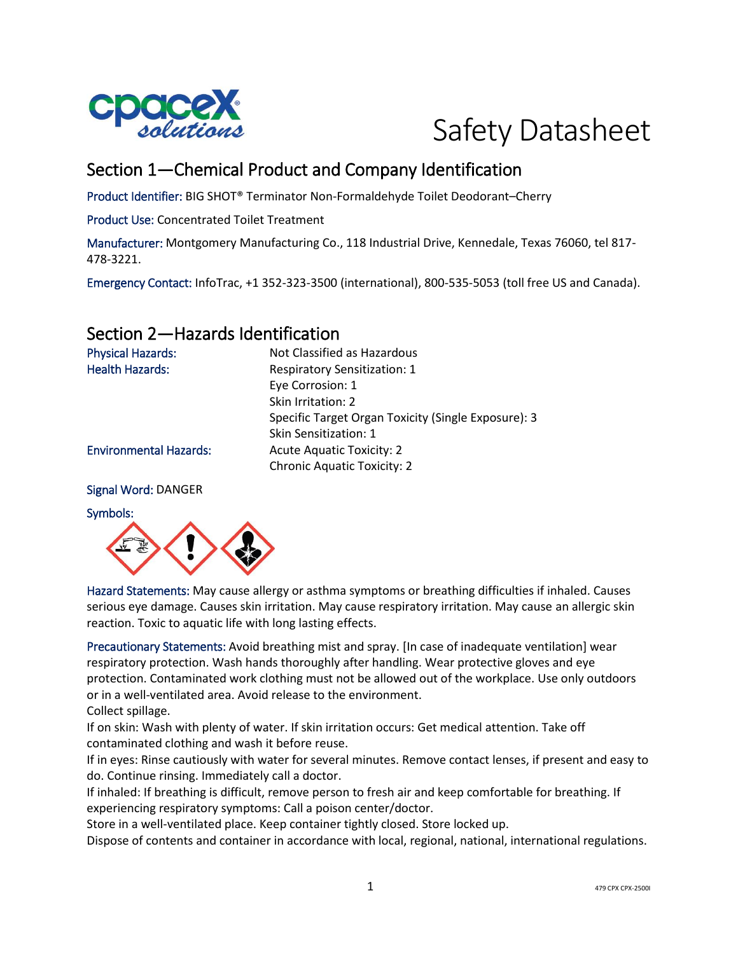

# Safety Datasheet

# Section 1—Chemical Product and Company Identification

Product Identifier: BIG SHOT® Terminator Non-Formaldehyde Toilet Deodorant–Cherry

Product Use: Concentrated Toilet Treatment

Manufacturer: Montgomery Manufacturing Co., 118 Industrial Drive, Kennedale, Texas 76060, tel 817- 478-3221.

Emergency Contact: InfoTrac, +1 352-323-3500 (international), 800-535-5053 (toll free US and Canada).

# Section 2—Hazards Identification

| <b>Physical Hazards:</b>      | Not Classified as Hazardous                         |
|-------------------------------|-----------------------------------------------------|
| <b>Health Hazards:</b>        | <b>Respiratory Sensitization: 1</b>                 |
|                               | Eye Corrosion: 1                                    |
|                               | Skin Irritation: 2                                  |
|                               | Specific Target Organ Toxicity (Single Exposure): 3 |
|                               | <b>Skin Sensitization: 1</b>                        |
| <b>Environmental Hazards:</b> | <b>Acute Aquatic Toxicity: 2</b>                    |
|                               | <b>Chronic Aquatic Toxicity: 2</b>                  |
|                               |                                                     |

#### Signal Word: DANGER

#### Symbols:



Hazard Statements: May cause allergy or asthma symptoms or breathing difficulties if inhaled. Causes serious eye damage. Causes skin irritation. May cause respiratory irritation. May cause an allergic skin reaction. Toxic to aquatic life with long lasting effects.

Precautionary Statements: Avoid breathing mist and spray. [In case of inadequate ventilation] wear respiratory protection. Wash hands thoroughly after handling. Wear protective gloves and eye protection. Contaminated work clothing must not be allowed out of the workplace. Use only outdoors or in a well-ventilated area. Avoid release to the environment. Collect spillage.

If on skin: Wash with plenty of water. If skin irritation occurs: Get medical attention. Take off contaminated clothing and wash it before reuse.

If in eyes: Rinse cautiously with water for several minutes. Remove contact lenses, if present and easy to do. Continue rinsing. Immediately call a doctor.

If inhaled: If breathing is difficult, remove person to fresh air and keep comfortable for breathing. If experiencing respiratory symptoms: Call a poison center/doctor.

Store in a well-ventilated place. Keep container tightly closed. Store locked up.

Dispose of contents and container in accordance with local, regional, national, international regulations.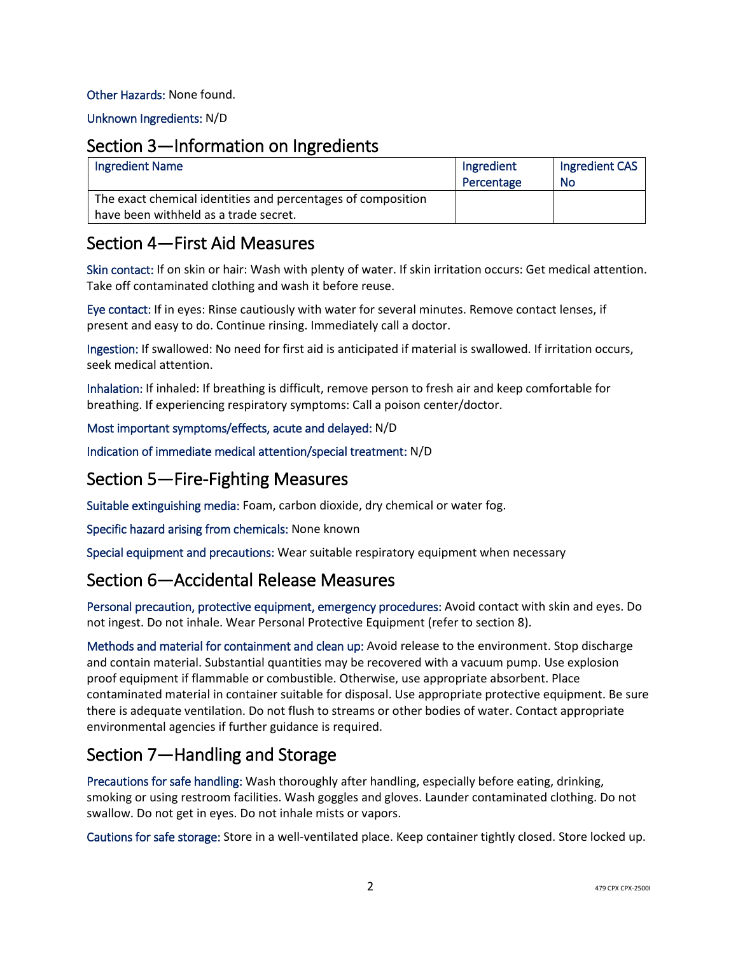#### Other Hazards: None found.

Unknown Ingredients: N/D

### Section 3—Information on Ingredients

| <b>Ingredient Name</b>                                                                                | Ingredient<br>Percentage | Ingredient CAS<br><b>No</b> |
|-------------------------------------------------------------------------------------------------------|--------------------------|-----------------------------|
| The exact chemical identities and percentages of composition<br>have been withheld as a trade secret. |                          |                             |

# Section 4—First Aid Measures

Skin contact: If on skin or hair: Wash with plenty of water. If skin irritation occurs: Get medical attention. Take off contaminated clothing and wash it before reuse.

Eye contact: If in eyes: Rinse cautiously with water for several minutes. Remove contact lenses, if present and easy to do. Continue rinsing. Immediately call a doctor.

Ingestion: If swallowed: No need for first aid is anticipated if material is swallowed. If irritation occurs, seek medical attention.

Inhalation: If inhaled: If breathing is difficult, remove person to fresh air and keep comfortable for breathing. If experiencing respiratory symptoms: Call a poison center/doctor.

#### Most important symptoms/effects, acute and delayed: N/D

Indication of immediate medical attention/special treatment: N/D

# Section 5—Fire-Fighting Measures

Suitable extinguishing media: Foam, carbon dioxide, dry chemical or water fog.

Specific hazard arising from chemicals: None known

Special equipment and precautions: Wear suitable respiratory equipment when necessary

# Section 6—Accidental Release Measures

Personal precaution, protective equipment, emergency procedures: Avoid contact with skin and eyes. Do not ingest. Do not inhale. Wear Personal Protective Equipment (refer to section 8).

Methods and material for containment and clean up: Avoid release to the environment. Stop discharge and contain material. Substantial quantities may be recovered with a vacuum pump. Use explosion proof equipment if flammable or combustible. Otherwise, use appropriate absorbent. Place contaminated material in container suitable for disposal. Use appropriate protective equipment. Be sure there is adequate ventilation. Do not flush to streams or other bodies of water. Contact appropriate environmental agencies if further guidance is required.

# Section 7—Handling and Storage

Precautions for safe handling: Wash thoroughly after handling, especially before eating, drinking, smoking or using restroom facilities. Wash goggles and gloves. Launder contaminated clothing. Do not swallow. Do not get in eyes. Do not inhale mists or vapors.

Cautions for safe storage: Store in a well-ventilated place. Keep container tightly closed. Store locked up.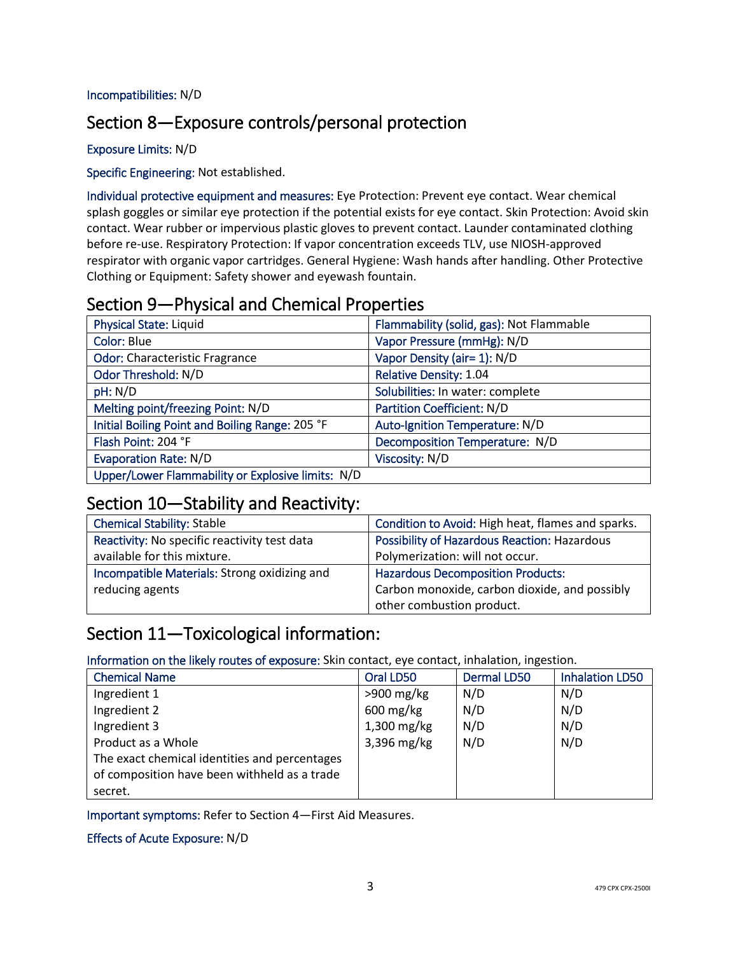#### Incompatibilities: N/D

# Section 8—Exposure controls/personal protection

#### Exposure Limits: N/D

#### Specific Engineering: Not established.

Individual protective equipment and measures: Eye Protection: Prevent eye contact. Wear chemical splash goggles or similar eye protection if the potential exists for eye contact. Skin Protection: Avoid skin contact. Wear rubber or impervious plastic gloves to prevent contact. Launder contaminated clothing before re-use. Respiratory Protection: If vapor concentration exceeds TLV, use NIOSH-approved respirator with organic vapor cartridges. General Hygiene: Wash hands after handling. Other Protective Clothing or Equipment: Safety shower and eyewash fountain.

# Section 9—Physical and Chemical Properties

| <b>Physical State: Liquid</b>                     | Flammability (solid, gas): Not Flammable |
|---------------------------------------------------|------------------------------------------|
| Color: Blue                                       | Vapor Pressure (mmHg): N/D               |
| <b>Odor: Characteristic Fragrance</b>             | Vapor Density (air= 1): N/D              |
| Odor Threshold: N/D                               | <b>Relative Density: 1.04</b>            |
| pH: N/D                                           | Solubilities: In water: complete         |
| Melting point/freezing Point: N/D                 | <b>Partition Coefficient: N/D</b>        |
| Initial Boiling Point and Boiling Range: 205 °F   | Auto-Ignition Temperature: N/D           |
| Flash Point: 204 °F                               | Decomposition Temperature: N/D           |
| <b>Evaporation Rate: N/D</b>                      | Viscosity: N/D                           |
| Upper/Lower Flammability or Explosive limits: N/D |                                          |

# Section 10—Stability and Reactivity:

| <b>Chemical Stability: Stable</b>            | Condition to Avoid: High heat, flames and sparks.   |
|----------------------------------------------|-----------------------------------------------------|
| Reactivity: No specific reactivity test data | <b>Possibility of Hazardous Reaction: Hazardous</b> |
| available for this mixture.                  | Polymerization: will not occur.                     |
| Incompatible Materials: Strong oxidizing and | <b>Hazardous Decomposition Products:</b>            |
| reducing agents                              | Carbon monoxide, carbon dioxide, and possibly       |
|                                              | other combustion product.                           |

# Section 11—Toxicological information:

Information on the likely routes of exposure: Skin contact, eye contact, inhalation, ingestion.

| <b>Chemical Name</b>                          | Oral LD50              | <b>Dermal LD50</b> | <b>Inhalation LD50</b> |
|-----------------------------------------------|------------------------|--------------------|------------------------|
| Ingredient 1                                  | $>900$ mg/kg           | N/D                | N/D                    |
| Ingredient 2                                  | $600 \,\mathrm{mg/kg}$ | N/D                | N/D                    |
| Ingredient 3                                  | 1,300 mg/kg            | N/D                | N/D                    |
| Product as a Whole                            | 3,396 mg/kg            | N/D                | N/D                    |
| The exact chemical identities and percentages |                        |                    |                        |
| of composition have been withheld as a trade  |                        |                    |                        |
| secret.                                       |                        |                    |                        |

Important symptoms: Refer to Section 4—First Aid Measures.

#### Effects of Acute Exposure: N/D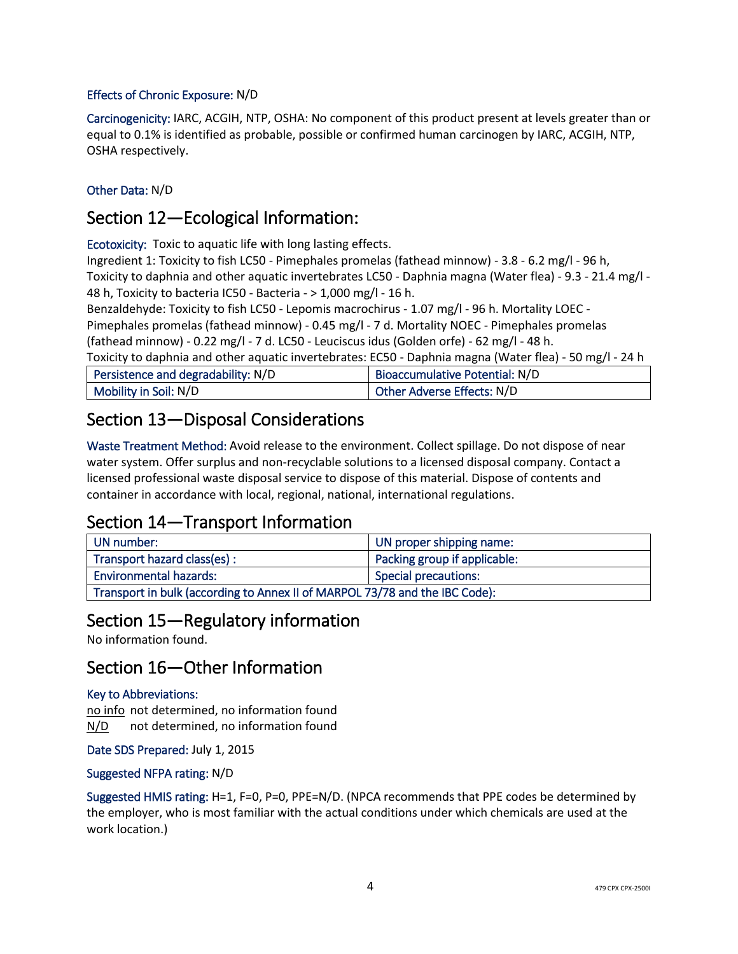#### Effects of Chronic Exposure: N/D

Carcinogenicity: IARC, ACGIH, NTP, OSHA: No component of this product present at levels greater than or equal to 0.1% is identified as probable, possible or confirmed human carcinogen by IARC, ACGIH, NTP, OSHA respectively.

#### Other Data: N/D

# Section 12—Ecological Information:

Ecotoxicity: Toxic to aquatic life with long lasting effects.

Ingredient 1: Toxicity to fish LC50 - Pimephales promelas (fathead minnow) - 3.8 - 6.2 mg/l - 96 h, Toxicity to daphnia and other aquatic invertebrates LC50 - Daphnia magna (Water flea) - 9.3 - 21.4 mg/l - 48 h, Toxicity to bacteria IC50 - Bacteria - > 1,000 mg/l - 16 h.

Benzaldehyde: Toxicity to fish LC50 - Lepomis macrochirus - 1.07 mg/l - 96 h. Mortality LOEC -

Pimephales promelas (fathead minnow) - 0.45 mg/l - 7 d. Mortality NOEC - Pimephales promelas (fathead minnow) - 0.22 mg/l - 7 d. LC50 - Leuciscus idus (Golden orfe) - 62 mg/l - 48 h.

Toxicity to daphnia and other aquatic invertebrates: EC50 - Daphnia magna (Water flea) - 50 mg/l - 24 h

| Persistence and degradability: N/D | Bioaccumulative Potential: N/D |
|------------------------------------|--------------------------------|
| Mobility in Soil: N/D              | Other Adverse Effects: N/D     |

# Section 13—Disposal Considerations

Waste Treatment Method: Avoid release to the environment. Collect spillage. Do not dispose of near water system. Offer surplus and non-recyclable solutions to a licensed disposal company. Contact a licensed professional waste disposal service to dispose of this material. Dispose of contents and container in accordance with local, regional, national, international regulations.

# Section 14—Transport Information

| UN number:                                                                  | UN proper shipping name:     |
|-----------------------------------------------------------------------------|------------------------------|
| Transport hazard class(es):                                                 | Packing group if applicable: |
| <b>Environmental hazards:</b><br>Special precautions:                       |                              |
| Transport in bulk (according to Annex II of MARPOL 73/78 and the IBC Code): |                              |

# Section 15—Regulatory information

No information found.

# Section 16—Other Information

#### Key to Abbreviations:

no info not determined, no information found N/D not determined, no information found

Date SDS Prepared: July 1, 2015

#### Suggested NFPA rating: N/D

Suggested HMIS rating: H=1, F=0, P=0, PPE=N/D. (NPCA recommends that PPE codes be determined by the employer, who is most familiar with the actual conditions under which chemicals are used at the work location.)